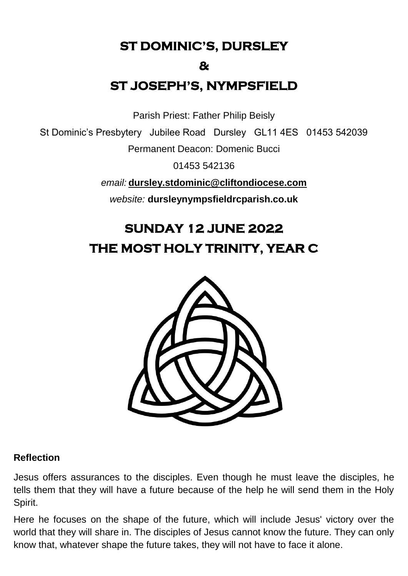**ST DOMINIC'S, DURSLEY** 

#### **&**

# **ST JOSEPH'S, NYMPSFIELD**

Parish Priest: Father Philip Beisly

St Dominic's Presbytery Jubilee Road Dursley GL11 4ES 01453 542039

Permanent Deacon: Domenic Bucci

01453 542136

*email:* **[dursley.stdominic@cliftondiocese.com](mailto:dursley.stdominic@cliftondiocese.com)**

*website:* **dursleynympsfieldrcparish.co.uk**

# **SUNDAY 12 JUNE 2022 THE MOST HOLY TRINITY, YEAR C**



#### **Reflection**

Jesus offers assurances to the disciples. Even though he must leave the disciples, he tells them that they will have a future because of the help he will send them in the Holy Spirit.

Here he focuses on the shape of the future, which will include Jesus' victory over the world that they will share in. The disciples of Jesus cannot know the future. They can only know that, whatever shape the future takes, they will not have to face it alone.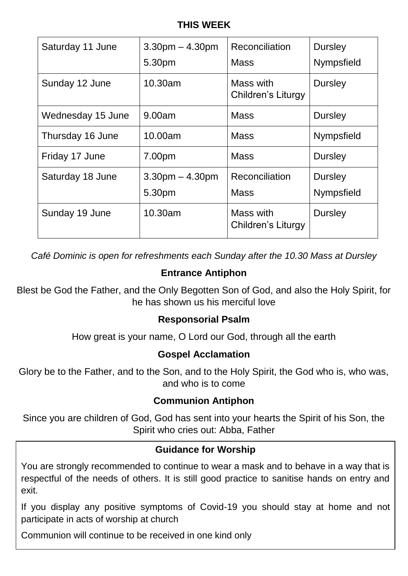## **THIS WEEK**

| Saturday 11 June  | $3.30pm - 4.30pm$<br>5.30pm | Reconciliation<br>Mass          | <b>Dursley</b><br><b>Nympsfield</b> |
|-------------------|-----------------------------|---------------------------------|-------------------------------------|
| Sunday 12 June    | 10.30am                     | Mass with<br>Children's Liturgy | <b>Dursley</b>                      |
| Wednesday 15 June | 9.00am                      | <b>Mass</b>                     | <b>Dursley</b>                      |
| Thursday 16 June  | 10.00am                     | <b>Mass</b>                     | Nympsfield                          |
| Friday 17 June    | 7.00pm                      | <b>Mass</b>                     | <b>Dursley</b>                      |
| Saturday 18 June  | $3.30pm - 4.30pm$<br>5.30pm | Reconciliation<br><b>Mass</b>   | <b>Dursley</b><br><b>Nympsfield</b> |
| Sunday 19 June    | 10.30am                     | Mass with<br>Children's Liturgy | <b>Dursley</b>                      |

*Café Dominic is open for refreshments each Sunday after the 10.30 Mass at Dursley* 

## **Entrance Antiphon**

Blest be God the Father, and the Only Begotten Son of God, and also the Holy Spirit, for he has shown us his merciful love

#### **Responsorial Psalm**

How great is your name, O Lord our God, through all the earth

#### **Gospel Acclamation**

Glory be to the Father, and to the Son, and to the Holy Spirit, the God who is, who was, and who is to come

#### **Communion Antiphon**

Since you are children of God, God has sent into your hearts the Spirit of his Son, the Spirit who cries out: Abba, Father

#### **Guidance for Worship**

You are strongly recommended to continue to wear a mask and to behave in a way that is respectful of the needs of others. It is still good practice to sanitise hands on entry and exit.

If you display any positive symptoms of Covid-19 you should stay at home and not participate in acts of worship at church

Communion will continue to be received in one kind only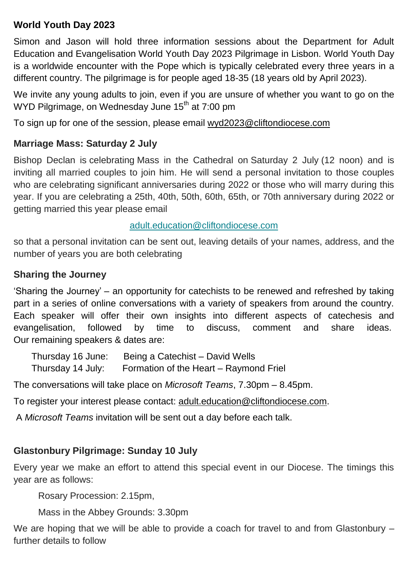## **World Youth Day 2023**

Simon and Jason will hold three information sessions about the Department for Adult Education and Evangelisation World Youth Day 2023 Pilgrimage in Lisbon. World Youth Day is a worldwide encounter with the Pope which is typically celebrated every three years in a different country. The pilgrimage is for people aged 18-35 (18 years old by April 2023).

We invite any young adults to join, even if you are unsure of whether you want to go on the WYD Pilgrimage, on Wednesday June 15<sup>th</sup> at 7:00 pm

To sign up for one of the session, please email [wyd2023@cliftondiocese.com](mailto:wyd2023@cliftondiocese.com)

### **Marriage Mass: Saturday 2 July**

Bishop Declan is celebrating Mass in the Cathedral on Saturday 2 July (12 noon) and is inviting all married couples to join him. He will send a personal invitation to those couples who are celebrating significant anniversaries during 2022 or those who will marry during this year. If you are celebrating a 25th, 40th, 50th, 60th, 65th, or 70th anniversary during 2022 or getting married this year please email

#### [adult.education@cliftondiocese.com](mailto:adult.education@cliftondiocese.com)

so that a personal invitation can be sent out, leaving details of your names, address, and the number of years you are both celebrating

#### **Sharing the Journey**

'Sharing the Journey' – an opportunity for catechists to be renewed and refreshed by taking part in a series of online conversations with a variety of speakers from around the country. Each speaker will offer their own insights into different aspects of catechesis and evangelisation, followed by time to discuss, comment and share ideas. Our remaining speakers & dates are:

 Thursday 16 June: Being a Catechist – David Wells Thursday 14 July: Formation of the Heart – Raymond Friel

The conversations will take place on *Microsoft Teams*, 7.30pm – 8.45pm.

To register your interest please contact: [adult.education@cliftondiocese.com.](mailto:adult.education@cliftondiocese.com)

A *Microsoft Teams* invitation will be sent out a day before each talk.

## **Glastonbury Pilgrimage: Sunday 10 July**

Every year we make an effort to attend this special event in our Diocese. The timings this year are as follows:

Rosary Procession: 2.15pm,

Mass in the Abbey Grounds: 3.30pm

We are hoping that we will be able to provide a coach for travel to and from Glastonbury – further details to follow